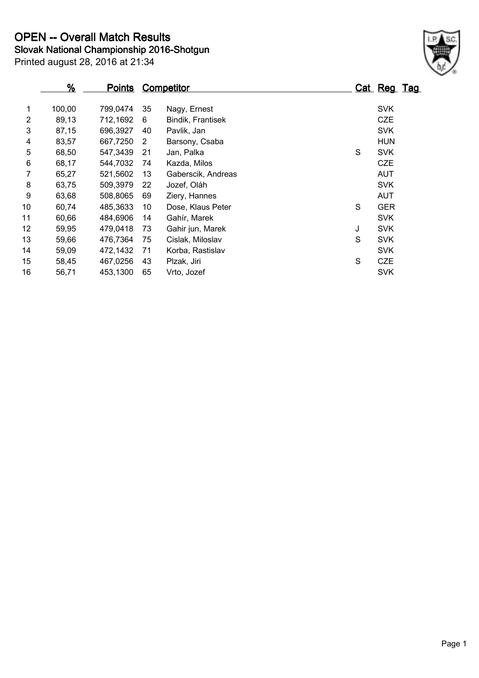**Slovak National Championship 2016-Shotgun OPEN -- Overall Match Results**

|                | $\frac{9}{6}$ | <b>Points</b> |    | <b>Competitor</b>  |   | Cat Reg Tag |  |
|----------------|---------------|---------------|----|--------------------|---|-------------|--|
| 1              | 100,00        | 799,0474      | 35 | Nagy, Ernest       |   | <b>SVK</b>  |  |
| $\overline{2}$ | 89,13         | 712,1692      | 6  | Bindik, Frantisek  |   | <b>CZE</b>  |  |
| 3              | 87,15         | 696,3927      | 40 | Pavlik, Jan        |   | <b>SVK</b>  |  |
| 4              | 83,57         | 667,7250      | 2  | Barsony, Csaba     |   | <b>HUN</b>  |  |
| 5              | 68,50         | 547,3439      | 21 | Jan, Palka         | S | <b>SVK</b>  |  |
| 6              | 68,17         | 544,7032      | 74 | Kazda, Milos       |   | <b>CZE</b>  |  |
| 7              | 65,27         | 521,5602      | 13 | Gaberscik, Andreas |   | <b>AUT</b>  |  |
| 8              | 63,75         | 509,3979      | 22 | Jozef, Oláh        |   | <b>SVK</b>  |  |
| 9              | 63,68         | 508,8065      | 69 | Ziery, Hannes      |   | <b>AUT</b>  |  |
| 10             | 60,74         | 485,3633      | 10 | Dose, Klaus Peter  | S | <b>GER</b>  |  |
| 11             | 60,66         | 484,6906      | 14 | Gahír, Marek       |   | <b>SVK</b>  |  |
| 12             | 59,95         | 479,0418      | 73 | Gahir jun, Marek   | J | <b>SVK</b>  |  |
| 13             | 59,66         | 476,7364      | 75 | Cislak, Miloslav   | S | <b>SVK</b>  |  |
| 14             | 59,09         | 472,1432      | 71 | Korba, Rastislav   |   | <b>SVK</b>  |  |
| 15             | 58,45         | 467,0256      | 43 | Plzak, Jiri        | S | <b>CZE</b>  |  |
| 16             | 56,71         | 453,1300      | 65 | Vrto, Jozef        |   | <b>SVK</b>  |  |

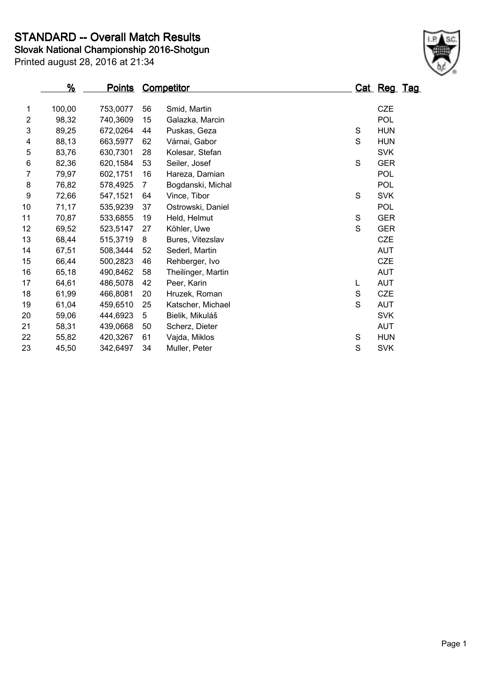**STANDARD -- Overall Match Results**

Printed august 28, 2016 at 21:34 **Slovak National Championship 2016-Shotgun**

|                | %      | <b>Points</b> |                | <b>Competitor</b>  |             | <b>Cat Reg Tag</b> |  |
|----------------|--------|---------------|----------------|--------------------|-------------|--------------------|--|
|                |        |               |                |                    |             |                    |  |
| 1              | 100,00 | 753,0077      | 56             | Smid, Martin       |             | <b>CZE</b>         |  |
| $\overline{2}$ | 98,32  | 740,3609      | 15             | Galazka, Marcin    |             | POL                |  |
| 3              | 89,25  | 672,0264      | 44             | Puskas, Geza       | S           | <b>HUN</b>         |  |
| 4              | 88,13  | 663,5977      | 62             | Várnai, Gabor      | S           | <b>HUN</b>         |  |
| 5              | 83,76  | 630,7301      | 28             | Kolesar, Stefan    |             | <b>SVK</b>         |  |
| 6              | 82,36  | 620,1584      | 53             | Seiler, Josef      | $\mathbf S$ | <b>GER</b>         |  |
| 7              | 79,97  | 602,1751      | 16             | Hareza, Damian     |             | POL                |  |
| 8              | 76,82  | 578,4925      | $\overline{7}$ | Bogdanski, Michal  |             | <b>POL</b>         |  |
| 9              | 72,66  | 547,1521      | 64             | Vince, Tibor       | S           | <b>SVK</b>         |  |
| 10             | 71,17  | 535,9239      | 37             | Ostrowski, Daniel  |             | <b>POL</b>         |  |
| 11             | 70,87  | 533,6855      | 19             | Held, Helmut       | S           | <b>GER</b>         |  |
| 12             | 69,52  | 523,5147      | 27             | Köhler, Uwe        | S           | <b>GER</b>         |  |
| 13             | 68,44  | 515,3719      | 8              | Bures, Vitezslav   |             | <b>CZE</b>         |  |
| 14             | 67,51  | 508,3444      | 52             | Sederl, Martin     |             | <b>AUT</b>         |  |
| 15             | 66,44  | 500,2823      | 46             | Rehberger, Ivo     |             | <b>CZE</b>         |  |
| 16             | 65,18  | 490,8462      | 58             | Theilinger, Martin |             | <b>AUT</b>         |  |
| 17             | 64,61  | 486,5078      | 42             | Peer, Karin        | L           | <b>AUT</b>         |  |
| 18             | 61,99  | 466,8081      | 20             | Hruzek, Roman      | S           | <b>CZE</b>         |  |
| 19             | 61,04  | 459,6510      | 25             | Katscher, Michael  | S           | <b>AUT</b>         |  |
| 20             | 59,06  | 444,6923      | 5              | Bielik, Mikuláš    |             | <b>SVK</b>         |  |
| 21             | 58,31  | 439,0668      | 50             | Scherz, Dieter     |             | <b>AUT</b>         |  |
| 22             | 55,82  | 420,3267      | 61             | Vajda, Miklos      | S           | <b>HUN</b>         |  |
| 23             | 45,50  | 342,6497      | 34             | Muller, Peter      | S           | <b>SVK</b>         |  |
|                |        |               |                |                    |             |                    |  |

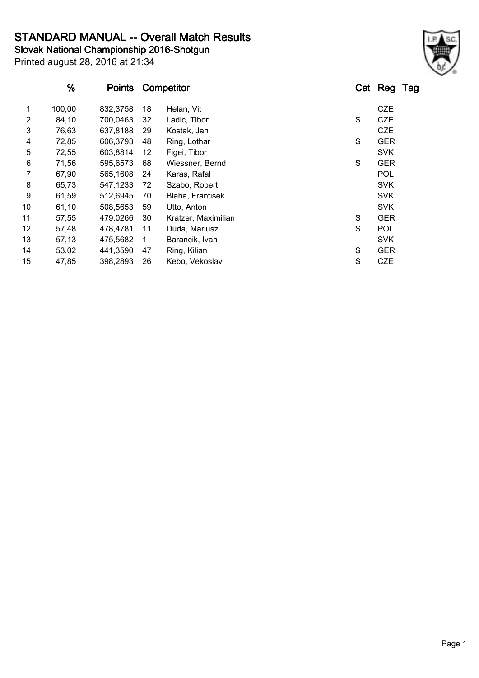**STANDARD MANUAL -- Overall Match Results**

**Slovak National Championship 2016-Shotgun**

|    | %      | <b>Points</b> |    | <b>Competitor</b>   |   | Cat Reg Tag |
|----|--------|---------------|----|---------------------|---|-------------|
|    |        |               |    |                     |   |             |
| 1  | 100,00 | 832,3758      | 18 | Helan, Vit          |   | <b>CZE</b>  |
| 2  | 84,10  | 700,0463      | 32 | Ladic, Tibor        | S | <b>CZE</b>  |
| 3  | 76,63  | 637,8188      | 29 | Kostak, Jan         |   | <b>CZE</b>  |
| 4  | 72,85  | 606,3793      | 48 | Ring, Lothar        | S | <b>GER</b>  |
| 5  | 72,55  | 603,8814      | 12 | Figei, Tibor        |   | <b>SVK</b>  |
| 6  | 71,56  | 595,6573      | 68 | Wiessner, Bernd     | S | <b>GER</b>  |
| 7  | 67,90  | 565,1608      | 24 | Karas, Rafal        |   | <b>POL</b>  |
| 8  | 65,73  | 547,1233      | 72 | Szabo, Robert       |   | <b>SVK</b>  |
| 9  | 61,59  | 512,6945      | 70 | Blaha, Frantisek    |   | <b>SVK</b>  |
| 10 | 61,10  | 508,5653      | 59 | Utto, Anton         |   | <b>SVK</b>  |
| 11 | 57,55  | 479,0266      | 30 | Kratzer, Maximilian | S | <b>GER</b>  |
| 12 | 57,48  | 478,4781      | 11 | Duda, Mariusz       | S | <b>POL</b>  |
| 13 | 57,13  | 475,5682      | 1  | Barancik, Ivan      |   | <b>SVK</b>  |
| 14 | 53,02  | 441,3590      | 47 | Ring, Kilian        | S | <b>GER</b>  |
| 15 | 47,85  | 398,2893      | 26 | Kebo, Vekoslav      | S | <b>CZE</b>  |